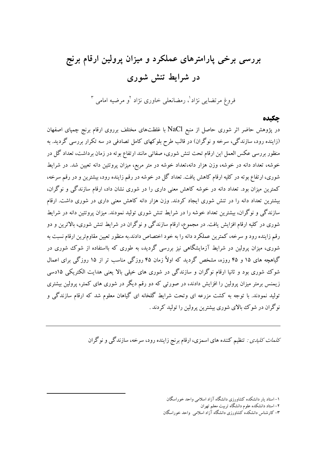# بررسی برخی پارامترهای عملکرد و میزان پرولین ارقام برنج در شرایط تنش شوری

فروغ مرتضایی نژاد<sup>'</sup>، رمضانعلی خاوری نژاد <sup>۷</sup>و مرضیه امامی <sup>۳</sup>

### چکیده

در پژوهش حاضر اثر شوری حاصل از منبع NaCl با غلظتهای مختلف برروی ارقام برنج چمپای اصفهان (زاینده رود، سازندگی، سرخه و نوگران) در قالب طرح بلوکهای کامل تصادفی در سه تکرار بررسی گردید. به منظور بررسی عکس العمل این ارقام تحت تنش شوری، صفاتی مانند ارتفاع بوته در زمان برداشت، تعداد گل در خوشه، تعداد دانه در خوشه، وزن هزار دانه،تعداد خوشه در متر مربع، میزان پروتئین دانه تعیین شد. در شرایط شوری، ارتفاع بوته در کلیه ارقام کاهش یافت. تعداد گل در خوشه در رقم زاینده رود، بیشترین و در رقم سرخه، کمترین میزان بود. تعداد دانه در خوشه کاهش معنی داری را در شوری نشان داد، ارقام سازندگی و نوگران، بیشترین تعداد دانه را در تنش شوری ایجاد کردند. وزن هزار دانه کاهش معنی داری در شوری داشت. ارقام سازندگی و نوگران، بیشترین تعداد خوشه را در شرایط تنش شوری تولید نمودند. میزان پروتئین دانه در شرایط شوری در کلیه ارقام افزایش یافت. در مجموع، ارقام سازندگی و نوگران در شرایط تنش شوری، بالاترین و دو رقم زاینده رود و سرخه، کمترین عملکرد دانه را به خود اختصاص دادند.به منظور تعیین مقاومترین ارقام نسبت به شوری، میزان پرولین در شرایط آزمایشگاهی نیز بررسی گردید، به طوری که بااستفاده از شوک شوری در گیاهچه های ۱۵ و ۴۵ روزه، مشخص گردید که اولاً زمان ۴۵ روزگی مناسب تر از ۱۵ روزگی برای اعمال شوک شوری بود و ثانیا ارقام نوگران و سازندگی در شوری های خیلی بالا یعنی هدایت الکتریکی ۱۵دسی زیمنس برمتر میزان پرولین را افزایش دادند، در صورتی که دو رقم دیگر در شوری های کمتر، پرولین بیشتری تولید نمودند. با توجه به کشت مزرعه ای وتحت شرایط گلخانه ای گیاهان معلوم شد که ارقام سازندگی و وگران در شوک بالای شوری بیشترین پرولین را تولید کردند . %

ک*لمات کلیدی :* تنظیم کننده های اسمزی، ارقام برنج زاینده رود، سرخه، سازندگ<sub>ی</sub> و نوگران

 $\overline{a}$ 

۱– استاد یار دانشکده کشاورزی دانشگاه آزاد اسلامی واحد خوراسگان

۲– استاد دانشکده علوم دانشگاه تربیت معلم تهران

۳– کارشناس دانشکده کشاورزی دانشگاه آزاد اسلامی واحد خوراسگان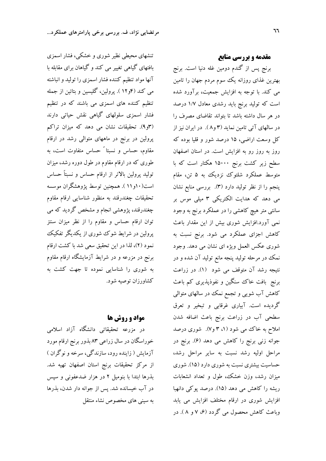تنشهای محیطی نظیر شوری و خشکی، فشار اسمزی بافتهای گیاهی تغییر می کند و گیاهان برای مقابله با آنها مواد تنظیم کننده فشار اسمزی را تولید و انباشته می کند (۴و۱۲ ). پرولین، گلیسین و بتائین از جمله تنظیم کننده های اسمزی می باشند که در تنظیم فشار اسمزی سلولهای گیاهی نقش حیاتی دارند (۳و۹). تحقیقات نشان می دهد که میزان تراکم پرولین در برنج در ماههای متوالی رشد در ارقام مقاوم، حساس و نسبتا ً حساس متفاوت است، به طوری که در ارقام مقاوم در طول دوره رشد، میزان تولید پرولین بالاتر از ارقام حساس و نسبتاً حساس است(۱۰و۱۱). همچنین توسط پژوهشگران موسسه تحقیقات چغندرقند به منظور شناسایی ارقام مقاوم چغندرقند، پژوهشی انجام و مشخص گردید که می توان ارقام حساس و مقاوم را از نظر میزان سنتز پرولین در شرایط شوک شوری از یکدیگر تفکیک نمود (۲)، لذا در این تحقیق سعی شد با کشت ارقام برنج در مزرعه و در شرایط آزمایشگاه ارقام مقاوم به شوری را شناسایی نموده تا جهت کشت به کشاورزان توصیه شود.

## **مواد و روش ها**

در مزرعه تحقیقاتی دانشگاه آزاد اسلامی خوراسگان در سال زراعی ۸۳ بذور برنج ارقام مورد آزمایش ( زاینده رود، سازندگی، سرخه و نوگران ) از مرکز تحقیقات برنج استان اصفهان تهیه شد. بذرها ابتدا با بنومیل ۲ در هزار ضدعفونی و سپس در آب خیسانده شد. پس از جوانه دار شدن، بذرها به سینی های مخصوص نشاء منتقل مقدمه و بررسی منابع

برنج پس از گندم دومین غله دنیا است. برنج بهترین غذای روزانه یک سوم مردم جهان را تامین می کند. با توجه به افزایش جمعیت، برآورد شده است که تولید برنج باید رشدی معادل ۱/۷ درصد در هر سال داشته باشد تا بتواند تقاضای مصرف را در سالهای آتی تامین نماید (۳ و۸). در ایران نیز از کل وسعت اراضی، ۱۵ درصد شور و قلیا بوده که روز به روز رو به افزایش است. در استان اصفهان سطح زیر کشت برنج ۱۵۰۰۰ هکتار است که با متوسط عملکرد شلتوک نزدیک به ۵ تن، مقام پنجم را از نظر تولید دارد (۳). بررسی منابع نشان می دهد که هدایت الکتریکی ۳ میلی موس بر سانتی متر هیچ کاهشی را در عملکرد برنج به وجود نمی آورد.افزایش شوری بیش از این مقدار باعث کاهش اجزای عملکرد می شود. برنج نسبت به شوری عکس العمل ویژه ای نشان می دهد. وجود نمک در مرحله تولید پنجه مانع تولید آن شده و در نتيجه رشد آن متوقف مي شود (١). در زراعت برنج بافت خاک سنگین و نفوذپذیری کم باعث کاهش آب شویی و تجمع نمک در سالهای متوالی گردیده است. آبیاری غرقابی و تبخیر و تعرق سطحی آب در زراعت برنج باعث اضافه شدن املاح به خاک می شود (۱، ۳ و۷). شوری درصد جوانه زنی برنج را کاهش می دهد (۶). برنج در مراحل اولیه رشد نسبت به سایر مراحل رشد، حساسیت بیشتری نسبت به شوری دارد (۱۵). شوری میزان رشد، وزن خشک، طول و تعداد انشعابات ریشه را کاهش می دهد (۱۵). درصد پوکی دانهبا افزایش شوری در ارقام مختلف افزایش می یابد وباعث کاهش محصول می گردد (۶، ۷ و ۸). در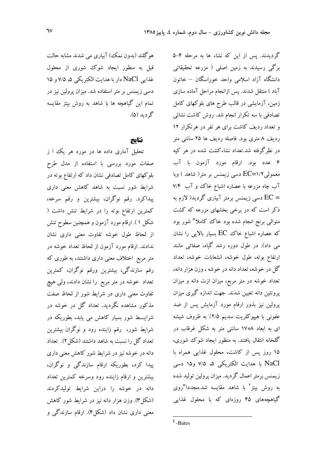هوگلند (بدون نمک) آبیاری می شدند مشابه حالت قبل به منظور ایجاد شوک شوری از محلول غذایی NaCl دار با هدایت الکتریکی ۵، ۷/۵ و ۱۵ دسی زیمنس بر متر استفاده شد. میزان پرولین نیز در تمام این گیاهچه ها با شاهد به روش بیتز مقایسه گر دىد (۵).

#### نتاىج

تحلیل آماری داده ها در مورد هر یک ا ز صفات مورد بررسی با استفاده از مدل طرح بلوکهای کامل تصادفی نشان داد که ارتفاع بوته در شرایط شور نسبت به شاهد کاهش معنی داری پیداکرد. رقم نوگران، بیشترین و رقم سرخه، کمترین ارتفاع بوته را در شرایط تنش داشت ( شکل ۱). ارقام مورد آزمون و همچنین سطوح تنش از لحاظ طول خوشه تفاوت معنی داری نشان ندادند. ارقام مورد آزمون از لحاظ تعداد خوشه در متر مربع اختلاف معنی داری داشتند، به طوری که رقم سازندگی، بیشترین ورقم نوگران، کمترین تعداد خوشه در متر مربع را نشان دادند، ولی هیچ تفاوت معنی داری در شرایط شور از لحاظ صفت مذکور مشاهده نگردید. تعداد گل در خوشه در شرایـــط شور بسیار کاهش می یابد، بطوریکه در شرایط شور، رقم زاینده رود و نوگران بیشترین تعداد گل را نسبت به شاهد داشتند (شکل ۲). تعداد دانه در خوشه نیز در شرایط شور کاهش معنی داری پیدا کرد، بطوریکه ارقام سازندگی و نوگران، بیشترین و ارقام زاینده رود وسرخه کمترین تعداد دانه در خوشه را دراین شرایط تولیدکردند (شکل۳). وزن هزار دانه نیز در شرایط شور کاهش معنی داری نشان داد (شکل۴). ارقام سازندگی و گردیدند. پس از این که نشاء ها به مرحله ۴-۵ برگی رسیدند به زمین اصلی ( مزرعه تحقیقاتی دانشگاه آزاد اسلامی واحد خوراسگان – خاتون آباد ) منتقل شدند. پس ازانجام مراحل آماده سازی زمین، آزمایشی در قالب طرح های بلوکهای کامل تصادفی با سه تکرار انجام شد. روش کاشت نشائی و تعداد ردیف کاشت برای هر نفر در هرتکرار ۱۲ ردیف ۸ متری بود. فاصله ردیف ها ۲۵ سانتی متر در نظرگرفته شد.تعداد نشاءکشت شده در هر کپه ۶ عدد بود. ارقام مورد آزمون با آب معمولی ۱/۲=EC دسی زیمنس بر متر( شاهد ) وبا آب چاه مزرعه با عصاره اشباع خاک و آب ۷/۴ = EC دسی زیمنس برمتر آبیاری گردید( لازم به ذکر است که در برخی بخشهای مزرعه که کشت متوالی برنج انجام شده بود خاک ککاملا" شور بود که عصاره اشباع خاک EC بسیار بالایی را نشان می داد). در طول دوره رشد گیاه، صفاتی مانند ارتفاع بوته، طول خوشه، انشعابات خوشه، تعداد گل در خوشه، تعداد دانه در خوشه ، وزن هزار دانه، تعداد خوشه در متر مربع، میزان ازت دانه و میزان پروتئین دانه تعیین شدند. جهت اندازه گیری میزان پرولین نیز بذور ارقام مورد آزمایش پس از ضد عفونی با هیپوکلریت سدیم ۲/۵٪ به ظروف شیشه ای به ابعاد ۱۷\*۱۷ سانتی متر به شکل غرقاب در گلخانه انتقال یافتند. به منظور ایجاد شوک شوری، ۱۵ روز پس از کاشت، محلول غذایی همراه با NaCl با هدایت الکتریکی ۵، ۷/۵ و۱۵ دسی زیمنس برمتر اعمال گردید. میزان پرولین تولید شده به روش بیتز<sup>٬</sup> با شاهد مقایسه شد.مجددا"روی گیاهچههای ۴۵ روزهای که با محلول غذایی

 $2$ -Bates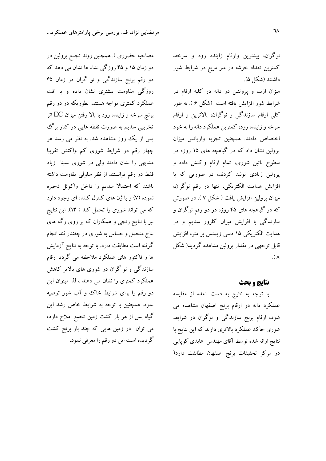نوگران، بیشترین وارقام زاینده رود و سرخه، کمترین تعداد خوشه در متر مربع در شرایط شور داشتند (شكل ۵).

میزان ازت و پروتئین در دانه در کلیه ارقام در شرایط شور افزایش یافته است (شکل ۶). به طور کلی ارقام سازندگی و نوگران، بالاترین و ارقام سرخه و زاینده رود، کمترین عملکرد دانه را به خود اختصاص دادند. همچنین تجزیه واریانس میزان پرولین نشان داد که در گیاهچه های ۱۵ روزه در سطوح پائین شوری، تمام ارقام واکنش داده و پرولین زیادی تولید کردند، در صورتی که با افزایش هدایت الکتریکی، تنها در رقم نوگران، میزان پرولین افزایش یافت ( شکل ۷ ). در صورتی که در گیاهچه های ۴۵ روزه در دو رقم نوگران و سازندگی با افزایش میزان کلرور سدیم و در هدایت الکتریکی ۱۵ دسی زیمنس بر متر، افزایش قابل توجهی در مقدار پرولین مشاهده گردید( شکل  $\Lambda$ 

#### نتايج و بحث

با توجه به نتايج به دست آمده از مقايسه عملکرد دانه در ارقام برنج اصفهان مشاهده می شود، ارقام برنج سازندگی و نوگران در شرایط شوری خاک عملکرد بالاتری دارند که این نتایج با نتایج ارائه شده توسط آقای مهندس عابدی کوپایی در مرکز تحقیقات برنج اصفهان مطابقت دارد(

مصاحبه حضوری ). همچنین روند تجمع پرولین در دو زمان ۱۵ و ۴۵ روزگی نشاء ها نشان می دهد که دو رقم برنج سازندگی و نو گران در زمان ۴۵ روزگی مقاومت بیشتری نشان داده و با افت عملکرد کمتری مواجه هستند. بطوریکه در دو رقم برنج سرخه و زاینده رود با بالا رفتن میزان EC اثر تخریبی سدیم به صورت نقطه هایی در کنار برگ پس از یک روز مشاهده شد. به نظر می رسد هر چهار رقم در شرایط شوری کم واکنش تقریبا مشابهی را نشان دادند ولی در شوری نسبتا زیاد فقط دو رقم توانستند از نظر سلولی مقاومت داشته باشند که احتمالا سدیم را داخل واکوئل ذخیره نموده (۷) و یا ژن های کنترل کننده ای وجود دارد که می تواند شوری را تحمل کند ( ۱۳). این نتایج نیز با نتایج رنجی و همکاران که بر روی رگه های نتاج متحمل و حساس به شوری در چغندر قند انجام گرفته است مطابقت دارد. با توجه به نتایج آزمایش ها و فاکتور های عملکرد ملاحظه می گردد ارقام سازندگی و نو گران در شوری های بالاتر کاهش عملکرد کمتری را نشان می دهند ، لذا میتوان این دو رقم را برای شرایط خاک و آب شور توصیه نمود. همچنین با توجه به شرایط خاص رشد این گیاه پس از هر بار کشت زمین تجمع املاح دارد، می توان در زمین هایی که چند بار برنج کشت گرديده است اين دو رقم را معرفي نمود.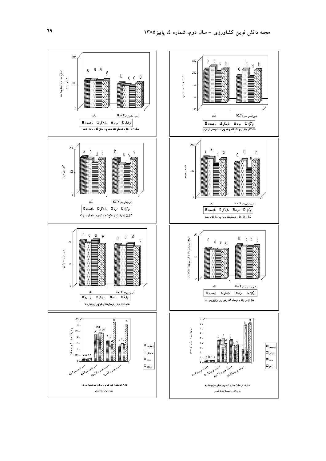